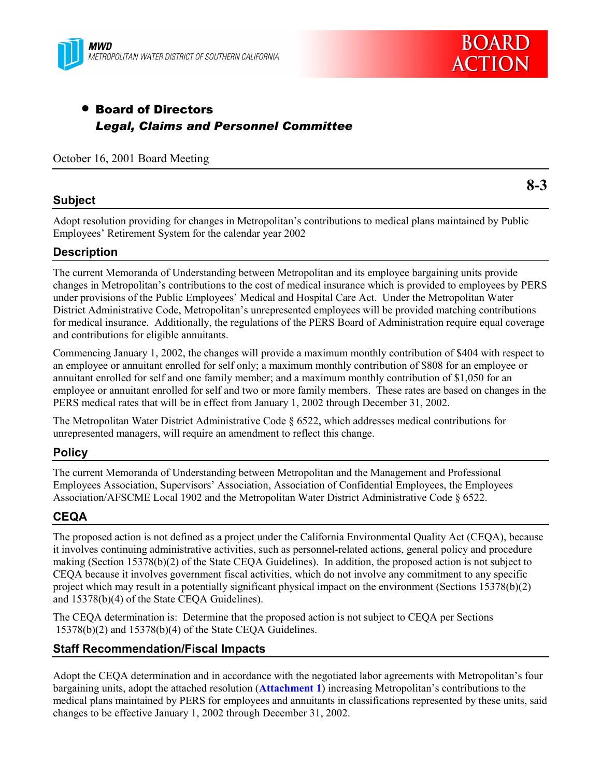



# • Board of Directors *Legal, Claims and Personnel Committee*

October 16, 2001 Board Meeting

## **Subject**

**8-3**

Adopt resolution providing for changes in Metropolitan's contributions to medical plans maintained by Public Employees' Retirement System for the calendar year 2002

# **Description**

The current Memoranda of Understanding between Metropolitan and its employee bargaining units provide changes in Metropolitanís contributions to the cost of medical insurance which is provided to employees by PERS under provisions of the Public Employees' Medical and Hospital Care Act. Under the Metropolitan Water District Administrative Code, Metropolitanís unrepresented employees will be provided matching contributions for medical insurance. Additionally, the regulations of the PERS Board of Administration require equal coverage and contributions for eligible annuitants.

Commencing January 1, 2002, the changes will provide a maximum monthly contribution of \$404 with respect to an employee or annuitant enrolled for self only; a maximum monthly contribution of \$808 for an employee or annuitant enrolled for self and one family member; and a maximum monthly contribution of \$1,050 for an employee or annuitant enrolled for self and two or more family members. These rates are based on changes in the PERS medical rates that will be in effect from January 1, 2002 through December 31, 2002.

The Metropolitan Water District Administrative Code ß 6522, which addresses medical contributions for unrepresented managers, will require an amendment to reflect this change.

#### **Policy**

The current Memoranda of Understanding between Metropolitan and the Management and Professional Employees Association, Supervisorsí Association, Association of Confidential Employees, the Employees Association/AFSCME Local 1902 and the Metropolitan Water District Administrative Code ß 6522.

# **CEQA**

The proposed action is not defined as a project under the California Environmental Quality Act (CEQA), because it involves continuing administrative activities, such as personnel-related actions, general policy and procedure making (Section 15378(b)(2) of the State CEQA Guidelines). In addition, the proposed action is not subject to CEQA because it involves government fiscal activities, which do not involve any commitment to any specific project which may result in a potentially significant physical impact on the environment (Sections 15378(b)(2) and 15378(b)(4) of the State CEQA Guidelines).

The CEQA determination is: Determine that the proposed action is not subject to CEQA per Sections 15378(b)(2) and 15378(b)(4) of the State CEQA Guidelines.

#### **Staff Recommendation/Fiscal Impacts**

Adopt the CEQA determination and in accordance with the negotiated labor agreements with Metropolitanís four bargaining units, adopt the attached resolution (**Attachment 1**) increasing Metropolitanís contributions to the medical plans maintained by PERS for employees and annuitants in classifications represented by these units, said changes to be effective January 1, 2002 through December 31, 2002.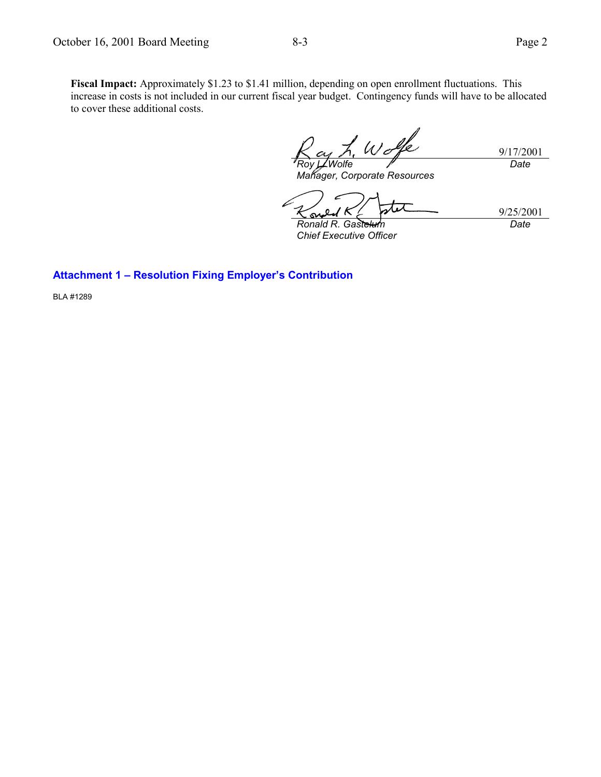9/17/2001 *Roy L. Wolfe Date*

*Manager, Corporate Resources*

tit 9/25/2001 **ی** *Ronald R. Gastelum Date*

*Chief Executive Officer*

## **Attachment 1 - Resolution Fixing Employer's Contribution**

BLA #1289